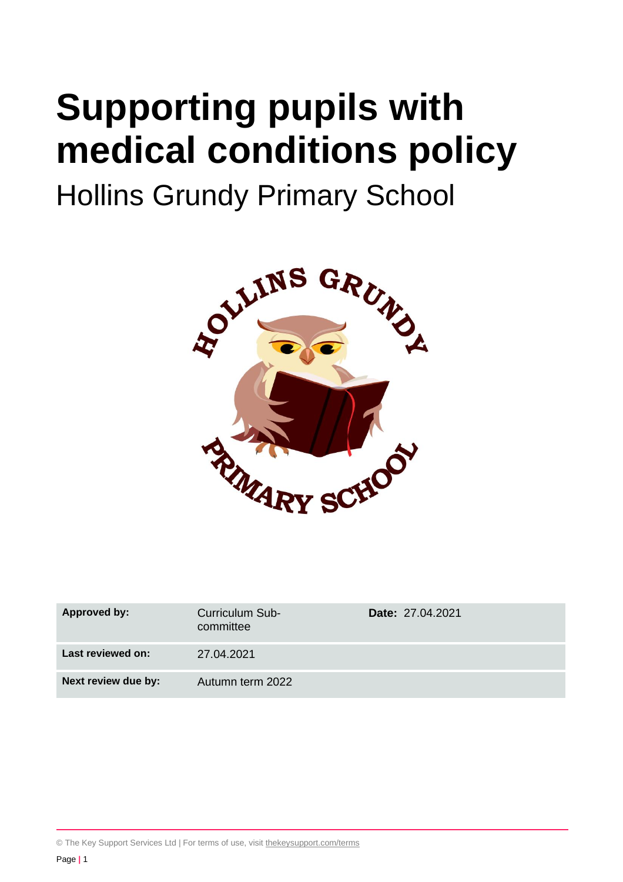# **Supporting pupils with medical conditions policy**

## Hollins Grundy Primary School



| Approved by:        | Curriculum Sub-<br>committee | <b>Date: 27.04.2021</b> |
|---------------------|------------------------------|-------------------------|
| Last reviewed on:   | 27.04.2021                   |                         |
| Next review due by: | Autumn term 2022             |                         |

© The Key Support Services Ltd | For terms of use, visit [thekeysupport.com/terms](https://thekeysupport.com/terms-of-use)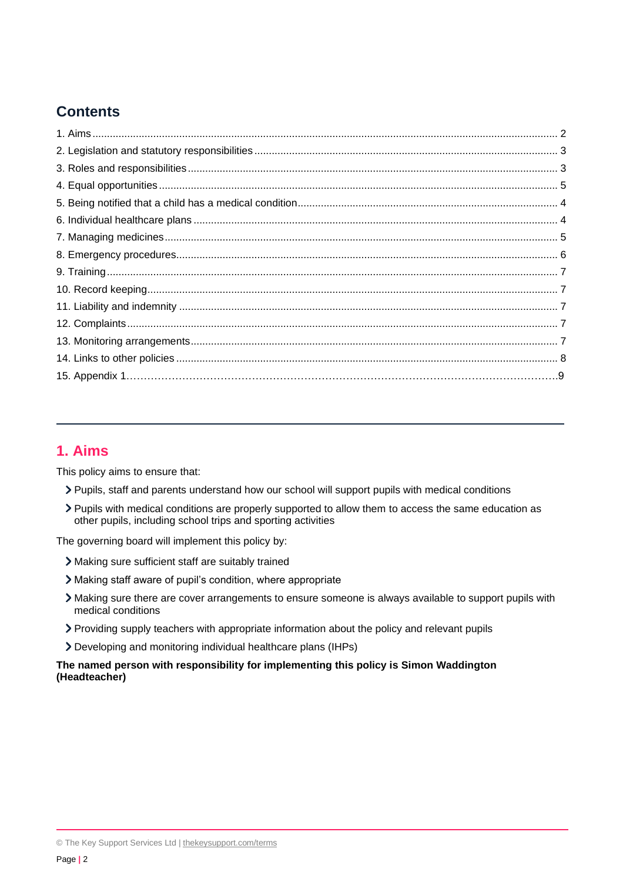## **Contents**

## **1. Aims**

This policy aims to ensure that:

- Pupils, staff and parents understand how our school will support pupils with medical conditions
- Pupils with medical conditions are properly supported to allow them to access the same education as other pupils, including school trips and sporting activities

The governing board will implement this policy by:

- Making sure sufficient staff are suitably trained
- Making staff aware of pupil's condition, where appropriate
- Making sure there are cover arrangements to ensure someone is always available to support pupils with medical conditions
- Providing supply teachers with appropriate information about the policy and relevant pupils
- Developing and monitoring individual healthcare plans (IHPs)

#### **The named person with responsibility for implementing this policy is Simon Waddington (Headteacher)**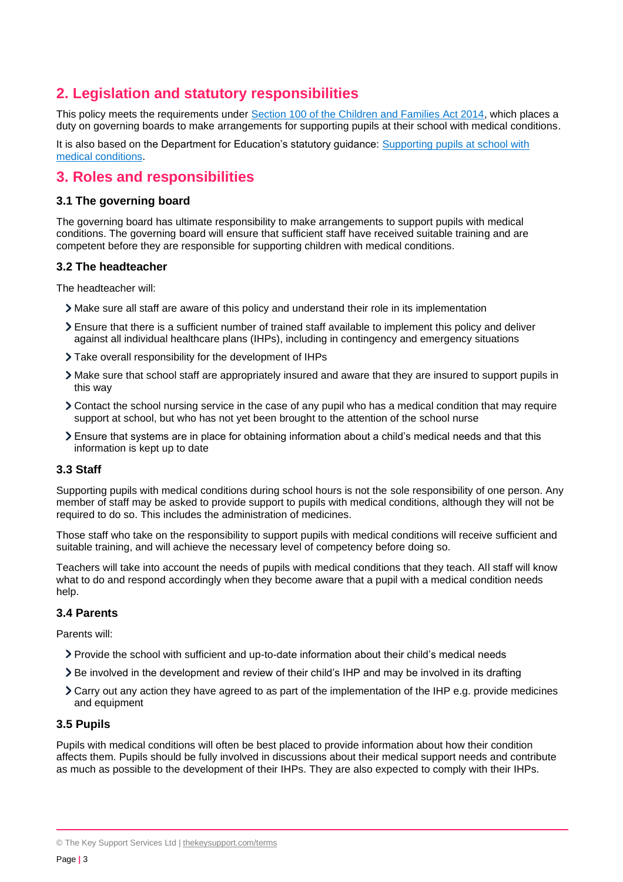## **2. Legislation and statutory responsibilities**

This policy meets the requirements under [Section 100 of the Children and Families Act 2014,](http://www.legislation.gov.uk/ukpga/2014/6/part/5/crossheading/pupils-with-medical-conditions) which places a duty on governing boards to make arrangements for supporting pupils at their school with medical conditions.

It is also based on the Department for Education's statutory guidance: [Supporting pupils at school with](https://www.gov.uk/government/uploads/system/uploads/attachment_data/file/484418/supporting-pupils-at-school-with-medical-conditions.pdf)  [medical conditions.](https://www.gov.uk/government/uploads/system/uploads/attachment_data/file/484418/supporting-pupils-at-school-with-medical-conditions.pdf)

## **3. Roles and responsibilities**

#### **3.1 The governing board**

The governing board has ultimate responsibility to make arrangements to support pupils with medical conditions. The governing board will ensure that sufficient staff have received suitable training and are competent before they are responsible for supporting children with medical conditions.

#### **3.2 The headteacher**

The headteacher will:

- Make sure all staff are aware of this policy and understand their role in its implementation
- Ensure that there is a sufficient number of trained staff available to implement this policy and deliver against all individual healthcare plans (IHPs), including in contingency and emergency situations
- Take overall responsibility for the development of IHPs
- Make sure that school staff are appropriately insured and aware that they are insured to support pupils in this way
- Contact the school nursing service in the case of any pupil who has a medical condition that may require support at school, but who has not yet been brought to the attention of the school nurse
- Ensure that systems are in place for obtaining information about a child's medical needs and that this information is kept up to date

#### **3.3 Staff**

Supporting pupils with medical conditions during school hours is not the sole responsibility of one person. Any member of staff may be asked to provide support to pupils with medical conditions, although they will not be required to do so. This includes the administration of medicines.

Those staff who take on the responsibility to support pupils with medical conditions will receive sufficient and suitable training, and will achieve the necessary level of competency before doing so.

Teachers will take into account the needs of pupils with medical conditions that they teach. All staff will know what to do and respond accordingly when they become aware that a pupil with a medical condition needs help.

#### **3.4 Parents**

Parents will:

- Provide the school with sufficient and up-to-date information about their child's medical needs
- Be involved in the development and review of their child's IHP and may be involved in its drafting
- Carry out any action they have agreed to as part of the implementation of the IHP e.g. provide medicines and equipment

#### **3.5 Pupils**

Pupils with medical conditions will often be best placed to provide information about how their condition affects them. Pupils should be fully involved in discussions about their medical support needs and contribute as much as possible to the development of their IHPs. They are also expected to comply with their IHPs.

<sup>©</sup> The Key Support Services Ltd | [thekeysupport.com/terms](https://thekeysupport.com/terms-of-use)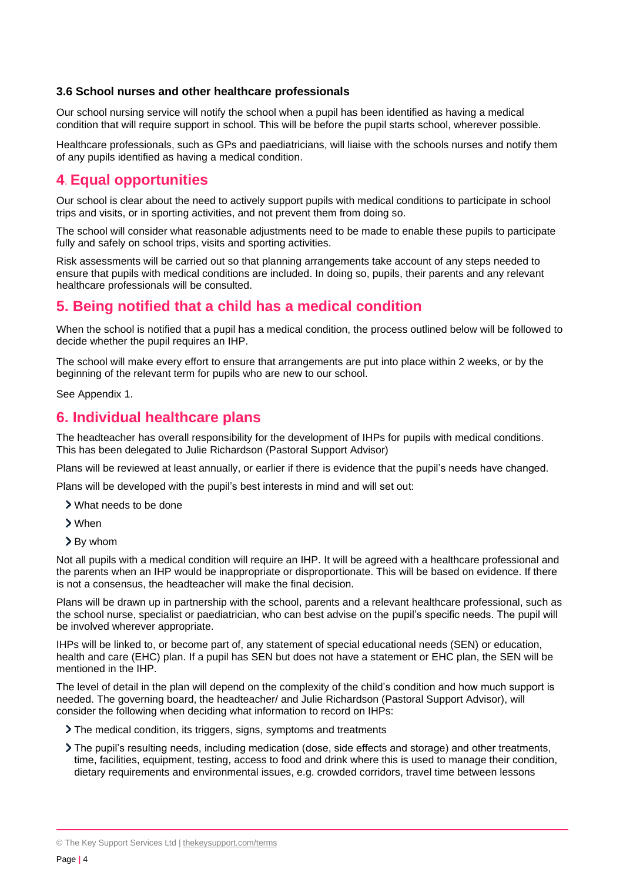#### **3.6 School nurses and other healthcare professionals**

Our school nursing service will notify the school when a pupil has been identified as having a medical condition that will require support in school. This will be before the pupil starts school, wherever possible.

Healthcare professionals, such as GPs and paediatricians, will liaise with the schools nurses and notify them of any pupils identified as having a medical condition.

## **4**. **Equal opportunities**

Our school is clear about the need to actively support pupils with medical conditions to participate in school trips and visits, or in sporting activities, and not prevent them from doing so.

The school will consider what reasonable adjustments need to be made to enable these pupils to participate fully and safely on school trips, visits and sporting activities.

Risk assessments will be carried out so that planning arrangements take account of any steps needed to ensure that pupils with medical conditions are included. In doing so, pupils, their parents and any relevant healthcare professionals will be consulted.

## **5. Being notified that a child has a medical condition**

When the school is notified that a pupil has a medical condition, the process outlined below will be followed to decide whether the pupil requires an IHP.

The school will make every effort to ensure that arrangements are put into place within 2 weeks, or by the beginning of the relevant term for pupils who are new to our school.

See Appendix 1.

## **6. Individual healthcare plans**

The headteacher has overall responsibility for the development of IHPs for pupils with medical conditions. This has been delegated to Julie Richardson (Pastoral Support Advisor)

Plans will be reviewed at least annually, or earlier if there is evidence that the pupil's needs have changed.

Plans will be developed with the pupil's best interests in mind and will set out:

- What needs to be done
- When
- By whom

Not all pupils with a medical condition will require an IHP. It will be agreed with a healthcare professional and the parents when an IHP would be inappropriate or disproportionate. This will be based on evidence. If there is not a consensus, the headteacher will make the final decision.

Plans will be drawn up in partnership with the school, parents and a relevant healthcare professional, such as the school nurse, specialist or paediatrician, who can best advise on the pupil's specific needs. The pupil will be involved wherever appropriate.

IHPs will be linked to, or become part of, any statement of special educational needs (SEN) or education, health and care (EHC) plan. If a pupil has SEN but does not have a statement or EHC plan, the SEN will be mentioned in the IHP.

The level of detail in the plan will depend on the complexity of the child's condition and how much support is needed. The governing board, the headteacher/ and Julie Richardson (Pastoral Support Advisor), will consider the following when deciding what information to record on IHPs:

The medical condition, its triggers, signs, symptoms and treatments

The pupil's resulting needs, including medication (dose, side effects and storage) and other treatments, time, facilities, equipment, testing, access to food and drink where this is used to manage their condition, dietary requirements and environmental issues, e.g. crowded corridors, travel time between lessons

<sup>©</sup> The Key Support Services Ltd | [thekeysupport.com/terms](https://thekeysupport.com/terms-of-use)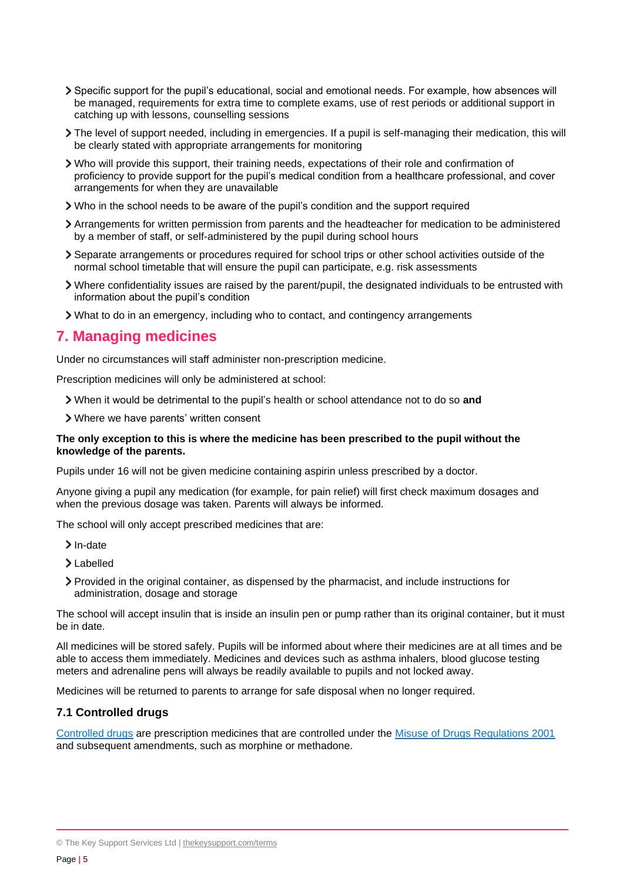- Specific support for the pupil's educational, social and emotional needs. For example, how absences will be managed, requirements for extra time to complete exams, use of rest periods or additional support in catching up with lessons, counselling sessions
- The level of support needed, including in emergencies. If a pupil is self-managing their medication, this will be clearly stated with appropriate arrangements for monitoring
- Who will provide this support, their training needs, expectations of their role and confirmation of proficiency to provide support for the pupil's medical condition from a healthcare professional, and cover arrangements for when they are unavailable
- Who in the school needs to be aware of the pupil's condition and the support required
- Arrangements for written permission from parents and the headteacher for medication to be administered by a member of staff, or self-administered by the pupil during school hours
- Separate arrangements or procedures required for school trips or other school activities outside of the normal school timetable that will ensure the pupil can participate, e.g. risk assessments
- Where confidentiality issues are raised by the parent/pupil, the designated individuals to be entrusted with information about the pupil's condition
- What to do in an emergency, including who to contact, and contingency arrangements

#### **7. Managing medicines**

Under no circumstances will staff administer non-prescription medicine.

Prescription medicines will only be administered at school:

When it would be detrimental to the pupil's health or school attendance not to do so **and**

Where we have parents' written consent

#### **The only exception to this is where the medicine has been prescribed to the pupil without the knowledge of the parents.**

Pupils under 16 will not be given medicine containing aspirin unless prescribed by a doctor.

Anyone giving a pupil any medication (for example, for pain relief) will first check maximum dosages and when the previous dosage was taken. Parents will always be informed.

The school will only accept prescribed medicines that are:

- $\sum$  In-date
- Labelled
- Provided in the original container, as dispensed by the pharmacist, and include instructions for administration, dosage and storage

The school will accept insulin that is inside an insulin pen or pump rather than its original container, but it must be in date.

All medicines will be stored safely. Pupils will be informed about where their medicines are at all times and be able to access them immediately. Medicines and devices such as asthma inhalers, blood glucose testing meters and adrenaline pens will always be readily available to pupils and not locked away.

Medicines will be returned to parents to arrange for safe disposal when no longer required.

#### **7.1 Controlled drugs**

[Controlled drugs](http://www.nhs.uk/chq/Pages/1391.aspx?CategoryID=73) are prescription medicines that are controlled under the [Misuse of Drugs Regulations 2001](http://www.legislation.gov.uk/uksi/2001/3998/schedule/1/made) and subsequent amendments, such as morphine or methadone.

<sup>©</sup> The Key Support Services Ltd | [thekeysupport.com/terms](https://thekeysupport.com/terms-of-use)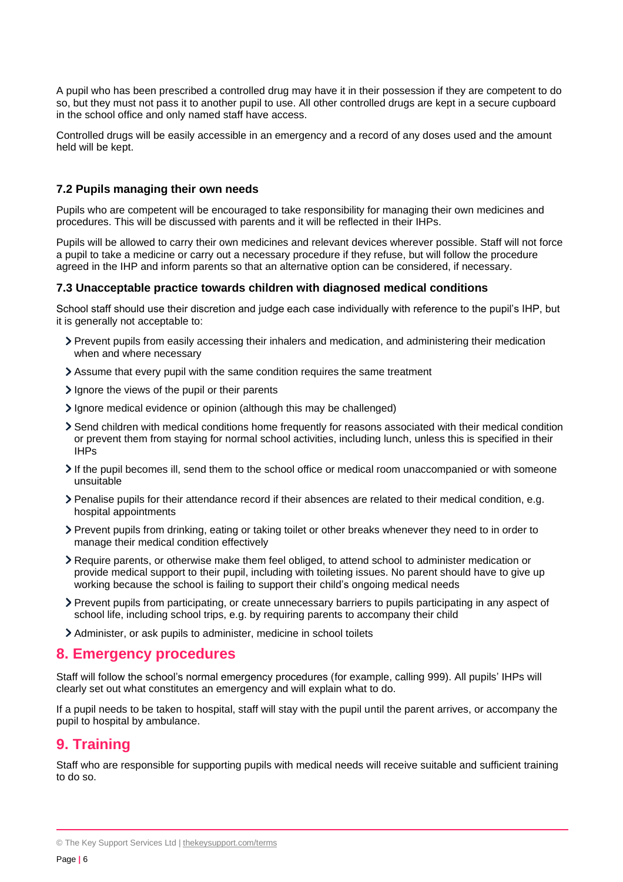A pupil who has been prescribed a controlled drug may have it in their possession if they are competent to do so, but they must not pass it to another pupil to use. All other controlled drugs are kept in a secure cupboard in the school office and only named staff have access.

Controlled drugs will be easily accessible in an emergency and a record of any doses used and the amount held will be kept.

#### **7.2 Pupils managing their own needs**

Pupils who are competent will be encouraged to take responsibility for managing their own medicines and procedures. This will be discussed with parents and it will be reflected in their IHPs.

Pupils will be allowed to carry their own medicines and relevant devices wherever possible. Staff will not force a pupil to take a medicine or carry out a necessary procedure if they refuse, but will follow the procedure agreed in the IHP and inform parents so that an alternative option can be considered, if necessary.

#### **7.3 Unacceptable practice towards children with diagnosed medical conditions**

School staff should use their discretion and judge each case individually with reference to the pupil's IHP, but it is generally not acceptable to:

- Prevent pupils from easily accessing their inhalers and medication, and administering their medication when and where necessary
- Assume that every pupil with the same condition requires the same treatment
- $\geq$  Ignore the views of the pupil or their parents
- Ignore medical evidence or opinion (although this may be challenged)
- Send children with medical conditions home frequently for reasons associated with their medical condition or prevent them from staying for normal school activities, including lunch, unless this is specified in their IHPs
- If the pupil becomes ill, send them to the school office or medical room unaccompanied or with someone unsuitable
- Penalise pupils for their attendance record if their absences are related to their medical condition, e.g. hospital appointments
- Prevent pupils from drinking, eating or taking toilet or other breaks whenever they need to in order to manage their medical condition effectively
- Require parents, or otherwise make them feel obliged, to attend school to administer medication or provide medical support to their pupil, including with toileting issues. No parent should have to give up working because the school is failing to support their child's ongoing medical needs
- Prevent pupils from participating, or create unnecessary barriers to pupils participating in any aspect of school life, including school trips, e.g. by requiring parents to accompany their child
- Administer, or ask pupils to administer, medicine in school toilets

## **8. Emergency procedures**

Staff will follow the school's normal emergency procedures (for example, calling 999). All pupils' IHPs will clearly set out what constitutes an emergency and will explain what to do.

If a pupil needs to be taken to hospital, staff will stay with the pupil until the parent arrives, or accompany the pupil to hospital by ambulance.

## **9. Training**

Staff who are responsible for supporting pupils with medical needs will receive suitable and sufficient training to do so.

<sup>©</sup> The Key Support Services Ltd | [thekeysupport.com/terms](https://thekeysupport.com/terms-of-use)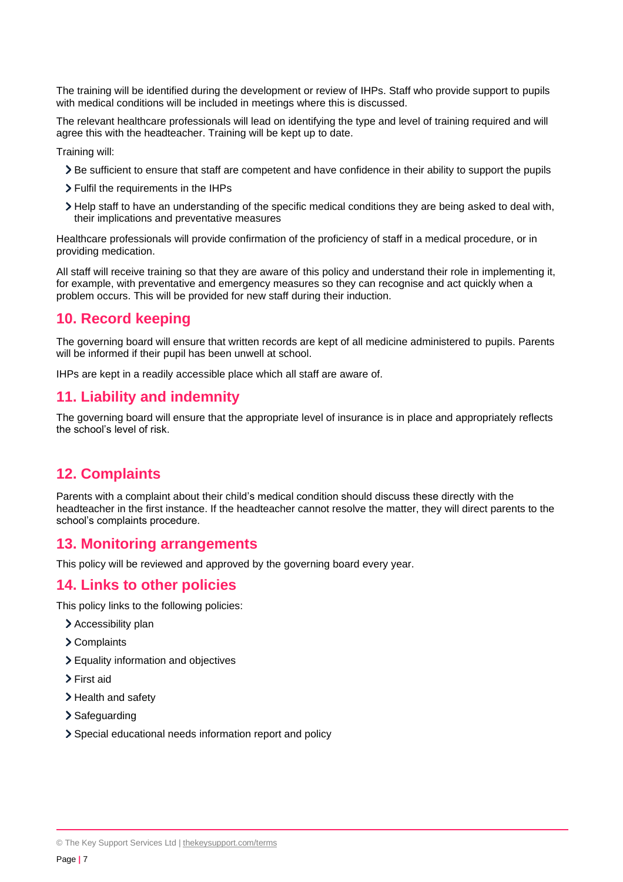The training will be identified during the development or review of IHPs. Staff who provide support to pupils with medical conditions will be included in meetings where this is discussed.

The relevant healthcare professionals will lead on identifying the type and level of training required and will agree this with the headteacher. Training will be kept up to date.

Training will:

- Be sufficient to ensure that staff are competent and have confidence in their ability to support the pupils
- Fulfil the requirements in the IHPs
- Help staff to have an understanding of the specific medical conditions they are being asked to deal with, their implications and preventative measures

Healthcare professionals will provide confirmation of the proficiency of staff in a medical procedure, or in providing medication.

All staff will receive training so that they are aware of this policy and understand their role in implementing it, for example, with preventative and emergency measures so they can recognise and act quickly when a problem occurs. This will be provided for new staff during their induction.

## **10. Record keeping**

The governing board will ensure that written records are kept of all medicine administered to pupils. Parents will be informed if their pupil has been unwell at school.

IHPs are kept in a readily accessible place which all staff are aware of.

#### **11. Liability and indemnity**

The governing board will ensure that the appropriate level of insurance is in place and appropriately reflects the school's level of risk.

## **12. Complaints**

Parents with a complaint about their child's medical condition should discuss these directly with the headteacher in the first instance. If the headteacher cannot resolve the matter, they will direct parents to the school's complaints procedure.

#### **13. Monitoring arrangements**

This policy will be reviewed and approved by the governing board every year.

#### **14. Links to other policies**

This policy links to the following policies:

- > Accessibility plan
- Complaints
- Equality information and objectives
- > First aid
- > Health and safety
- > Safeguarding
- Special educational needs information report and policy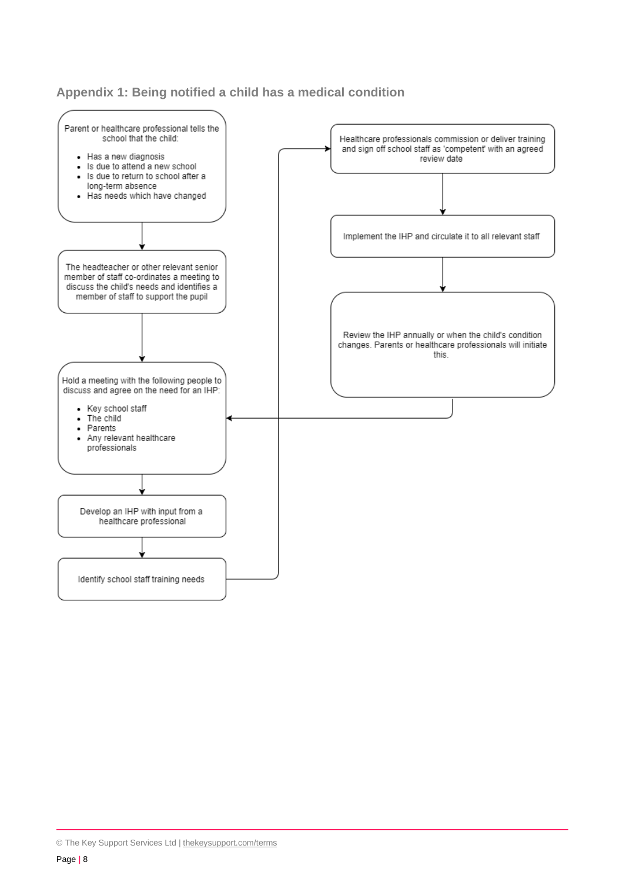#### **Appendix 1: Being notified a child has a medical condition**

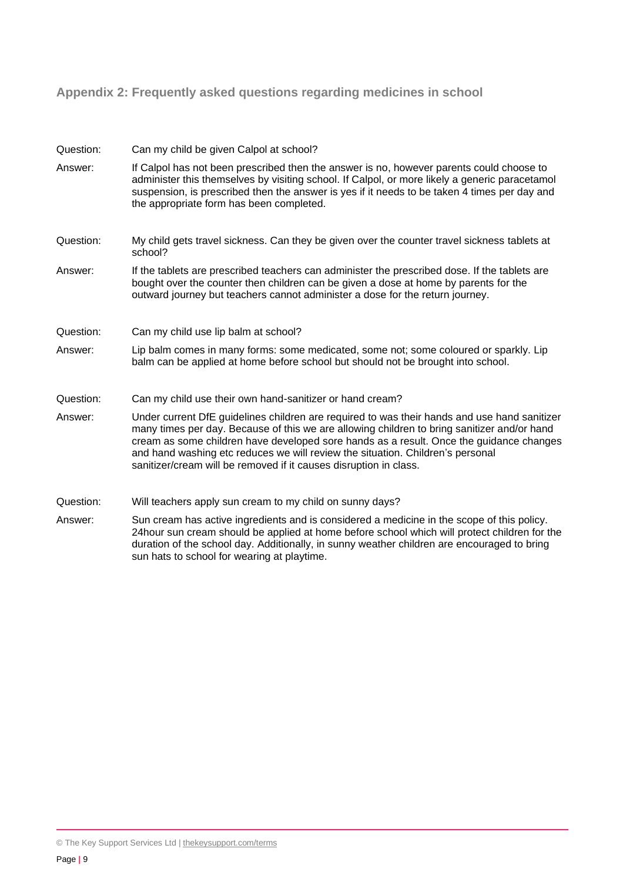## **Appendix 2: Frequently asked questions regarding medicines in school**

| Question: | Can my child be given Calpol at school?                                                                                                                                                                                                                                                                                                                                                                                                       |
|-----------|-----------------------------------------------------------------------------------------------------------------------------------------------------------------------------------------------------------------------------------------------------------------------------------------------------------------------------------------------------------------------------------------------------------------------------------------------|
| Answer:   | If Calpol has not been prescribed then the answer is no, however parents could choose to<br>administer this themselves by visiting school. If Calpol, or more likely a generic paracetamol<br>suspension, is prescribed then the answer is yes if it needs to be taken 4 times per day and<br>the appropriate form has been completed.                                                                                                        |
| Question: | My child gets travel sickness. Can they be given over the counter travel sickness tablets at<br>school?                                                                                                                                                                                                                                                                                                                                       |
| Answer:   | If the tablets are prescribed teachers can administer the prescribed dose. If the tablets are<br>bought over the counter then children can be given a dose at home by parents for the<br>outward journey but teachers cannot administer a dose for the return journey.                                                                                                                                                                        |
| Question: | Can my child use lip balm at school?                                                                                                                                                                                                                                                                                                                                                                                                          |
| Answer:   | Lip balm comes in many forms: some medicated, some not; some coloured or sparkly. Lip<br>balm can be applied at home before school but should not be brought into school.                                                                                                                                                                                                                                                                     |
| Question: | Can my child use their own hand-sanitizer or hand cream?                                                                                                                                                                                                                                                                                                                                                                                      |
| Answer:   | Under current DfE guidelines children are required to was their hands and use hand sanitizer<br>many times per day. Because of this we are allowing children to bring sanitizer and/or hand<br>cream as some children have developed sore hands as a result. Once the guidance changes<br>and hand washing etc reduces we will review the situation. Children's personal<br>sanitizer/cream will be removed if it causes disruption in class. |
| Question: | Will teachers apply sun cream to my child on sunny days?                                                                                                                                                                                                                                                                                                                                                                                      |
| Answer:   | Sun cream has active ingredients and is considered a medicine in the scope of this policy.<br>24hour sun cream should be applied at home before school which will protect children for the<br>duration of the school day. Additionally, in sunny weather children are encouraged to bring<br>sun hats to school for wearing at playtime.                                                                                                      |